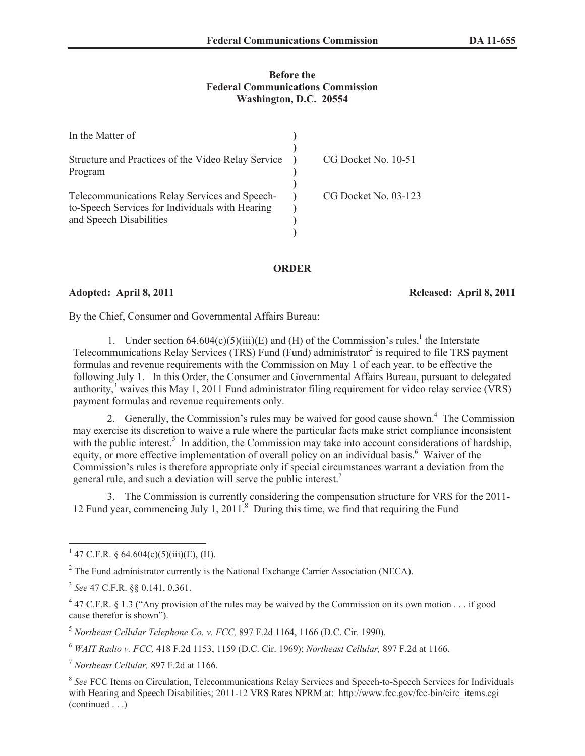## **Before the Federal Communications Commission Washington, D.C. 20554**

| In the Matter of                                                                                                            |                      |
|-----------------------------------------------------------------------------------------------------------------------------|----------------------|
| Structure and Practices of the Video Relay Service<br>Program                                                               | CG Docket No. 10-51  |
| Telecommunications Relay Services and Speech-<br>to-Speech Services for Individuals with Hearing<br>and Speech Disabilities | CG Docket No. 03-123 |

## **ORDER**

**Adopted: April 8, 2011 Released: April 8, 2011**

By the Chief, Consumer and Governmental Affairs Bureau:

1. Under section  $64.604(c)(5)(iii)(E)$  and (H) of the Commission's rules,<sup>1</sup> the Interstate Telecommunications Relay Services (TRS) Fund (Fund) administrator<sup>2</sup> is required to file TRS payment formulas and revenue requirements with the Commission on May 1 of each year, to be effective the following July 1. In this Order, the Consumer and Governmental Affairs Bureau, pursuant to delegated authority,<sup>3</sup> waives this May 1, 2011 Fund administrator filing requirement for video relay service (VRS) payment formulas and revenue requirements only.

2. Generally, the Commission's rules may be waived for good cause shown.<sup>4</sup> The Commission may exercise its discretion to waive a rule where the particular facts make strict compliance inconsistent with the public interest.<sup>5</sup> In addition, the Commission may take into account considerations of hardship, equity, or more effective implementation of overall policy on an individual basis.<sup>6</sup> Waiver of the Commission's rules is therefore appropriate only if special circumstances warrant a deviation from the general rule, and such a deviation will serve the public interest.<sup>7</sup>

3. The Commission is currently considering the compensation structure for VRS for the 2011- 12 Fund year, commencing July 1, 2011.<sup>8</sup> During this time, we find that requiring the Fund

<sup>&</sup>lt;sup>1</sup> 47 C.F.R. § 64.604(c)(5)(iii)(E), (H).

<sup>&</sup>lt;sup>2</sup> The Fund administrator currently is the National Exchange Carrier Association (NECA).

<sup>3</sup> *See* 47 C.F.R. §§ 0.141, 0.361.

 $47$  C.F.R. § 1.3 ("Any provision of the rules may be waived by the Commission on its own motion . . . if good cause therefor is shown").

<sup>5</sup> *Northeast Cellular Telephone Co. v. FCC,* 897 F.2d 1164, 1166 (D.C. Cir. 1990).

<sup>6</sup> *WAIT Radio v. FCC,* 418 F.2d 1153, 1159 (D.C. Cir. 1969); *Northeast Cellular,* 897 F.2d at 1166.

<sup>7</sup> *Northeast Cellular,* 897 F.2d at 1166.

<sup>&</sup>lt;sup>8</sup> See FCC Items on Circulation, Telecommunications Relay Services and Speech-to-Speech Services for Individuals with Hearing and Speech Disabilities; 2011-12 VRS Rates NPRM at: http://www.fcc.gov/fcc-bin/circ\_items.cgi (continued . . .)